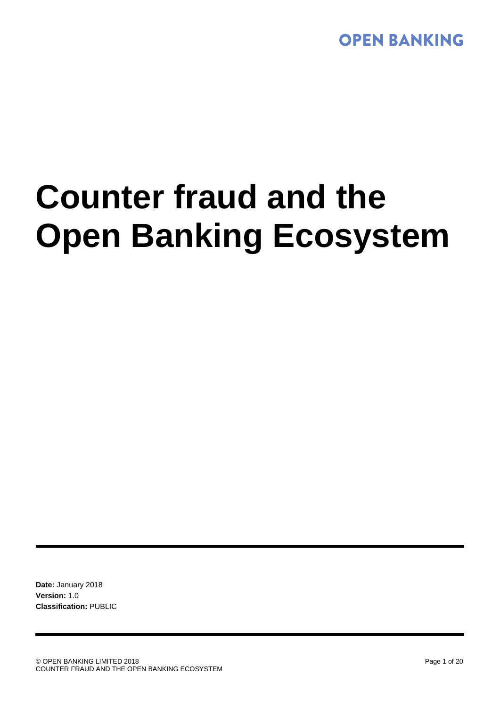# **Counter fraud and the Open Banking Ecosystem**

**Date:** January 2018 **Version:** 1.0 **Classification:** PUBLIC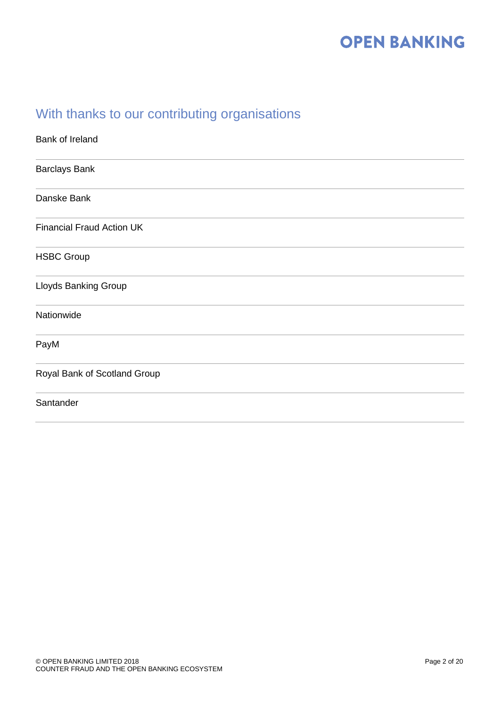### With thanks to our contributing organisations

| Bank of Ireland                  |
|----------------------------------|
| <b>Barclays Bank</b>             |
| Danske Bank                      |
| <b>Financial Fraud Action UK</b> |
| <b>HSBC Group</b>                |
| <b>Lloyds Banking Group</b>      |
| Nationwide                       |
| PayM                             |
| Royal Bank of Scotland Group     |
| Santander                        |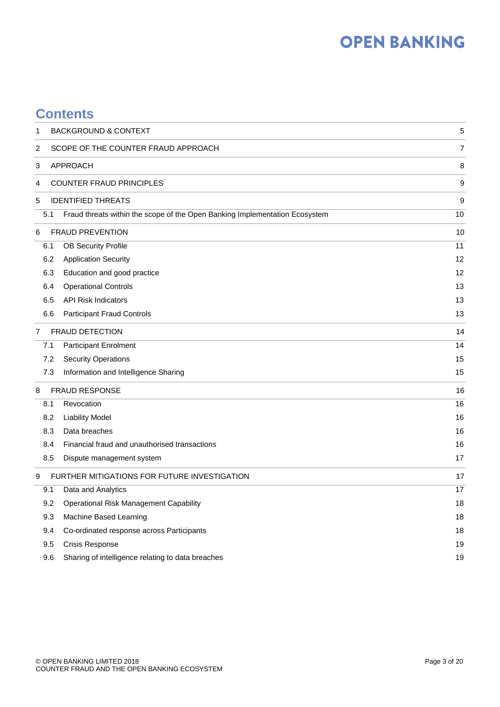### **Contents**

| 1                          | <b>BACKGROUND &amp; CONTEXT</b>                                             | 5              |
|----------------------------|-----------------------------------------------------------------------------|----------------|
| 2                          | SCOPE OF THE COUNTER FRAUD APPROACH                                         | $\overline{7}$ |
| 3                          | <b>APPROACH</b>                                                             | 8              |
| 4                          | <b>COUNTER FRAUD PRINCIPLES</b>                                             | 9              |
| 5                          | <b>IDENTIFIED THREATS</b>                                                   | 9              |
| 5.1                        | Fraud threats within the scope of the Open Banking Implementation Ecosystem | 10             |
| 6                          | <b>FRAUD PREVENTION</b>                                                     | 10             |
| 6.1                        | <b>OB Security Profile</b>                                                  | 11             |
| 6.2                        | <b>Application Security</b>                                                 | 12             |
| 6.3                        | Education and good practice                                                 | 12             |
| 6.4                        | <b>Operational Controls</b>                                                 | 13             |
| 6.5                        | <b>API Risk Indicators</b>                                                  | 13             |
| 6.6                        | <b>Participant Fraud Controls</b>                                           | 13             |
| 7                          | <b>FRAUD DETECTION</b>                                                      | 14             |
| 7.1                        | Participant Enrolment                                                       | 14             |
| 7.2                        | <b>Security Operations</b>                                                  | 15             |
| 7.3                        | Information and Intelligence Sharing                                        | 15             |
| <b>FRAUD RESPONSE</b><br>8 | 16                                                                          |                |
| 8.1                        | Revocation                                                                  | 16             |
| 8.2                        | <b>Liability Model</b>                                                      | 16             |
| 8.3                        | Data breaches                                                               | 16             |
| 8.4                        | Financial fraud and unauthorised transactions                               | 16             |
| 8.5                        | Dispute management system                                                   | 17             |
| 9                          | FURTHER MITIGATIONS FOR FUTURE INVESTIGATION                                | 17             |
| 9.1                        | Data and Analytics                                                          | 17             |
| 9.2                        | <b>Operational Risk Management Capability</b>                               | 18             |
| 9.3                        | Machine Based Learning                                                      | $18$           |
| 9.4                        | Co-ordinated response across Participants                                   | 18             |
| 9.5                        | <b>Crisis Response</b>                                                      | 19             |
| 9.6                        | Sharing of intelligence relating to data breaches                           | 19             |
|                            |                                                                             |                |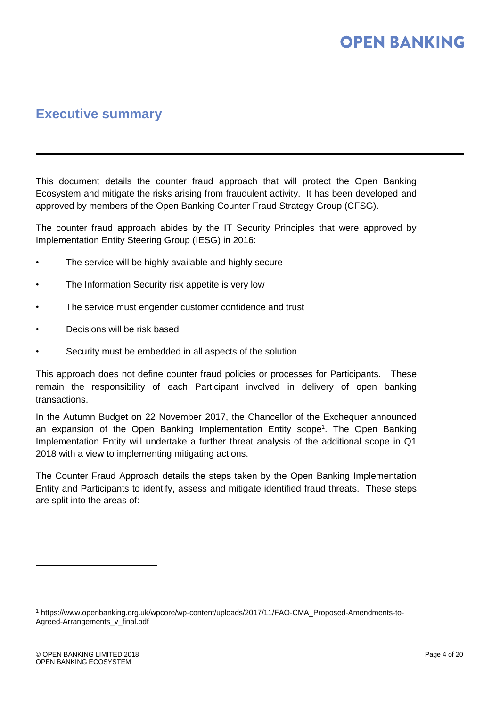### **Executive summary**

This document details the counter fraud approach that will protect the Open Banking Ecosystem and mitigate the risks arising from fraudulent activity. It has been developed and approved by members of the Open Banking Counter Fraud Strategy Group (CFSG).

The counter fraud approach abides by the IT Security Principles that were approved by Implementation Entity Steering Group (IESG) in 2016:

- The service will be highly available and highly secure
- The Information Security risk appetite is very low
- The service must engender customer confidence and trust
- Decisions will be risk based
- Security must be embedded in all aspects of the solution

This approach does not define counter fraud policies or processes for Participants. These remain the responsibility of each Participant involved in delivery of open banking transactions.

In the Autumn Budget on 22 November 2017, the Chancellor of the Exchequer announced an expansion of the Open Banking Implementation Entity scope<sup>1</sup>. The Open Banking Implementation Entity will undertake a further threat analysis of the additional scope in Q1 2018 with a view to implementing mitigating actions.

The Counter Fraud Approach details the steps taken by the Open Banking Implementation Entity and Participants to identify, assess and mitigate identified fraud threats. These steps are split into the areas of:

<sup>1</sup> [https://www.openbanking.org.uk/wpcore/wp-content/uploads/2017/11/FAO-CMA\\_Proposed-Amendments-to-](https://www.openbanking.org.uk/wpcore/wp-content/uploads/2017/11/FAO-CMA_Proposed-Amendments-to-Agreed-Arrangements_v_final.pdf)[Agreed-Arrangements\\_v\\_final.pdf](https://www.openbanking.org.uk/wpcore/wp-content/uploads/2017/11/FAO-CMA_Proposed-Amendments-to-Agreed-Arrangements_v_final.pdf)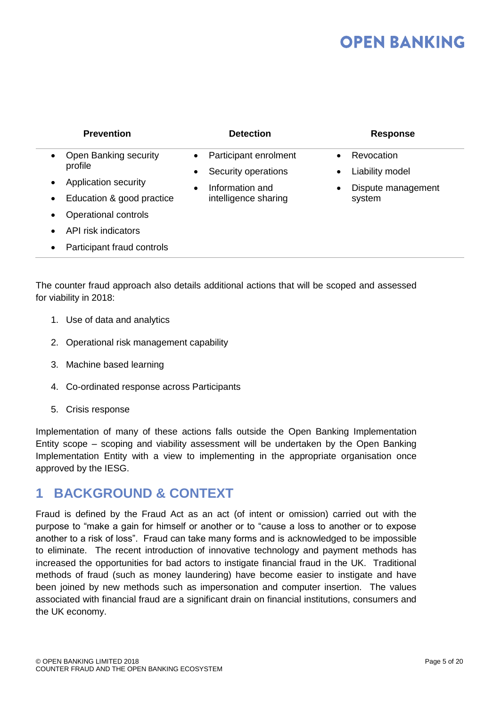| <b>Prevention</b>                                                   | <b>Detection</b>                                                       | <b>Response</b>                            |
|---------------------------------------------------------------------|------------------------------------------------------------------------|--------------------------------------------|
| Open Banking security<br>$\bullet$<br>profile                       | Participant enrolment<br>$\bullet$<br>Security operations<br>$\bullet$ | Revocation<br>Liability model<br>$\bullet$ |
| Application security<br>$\bullet$<br>Education & good practice<br>٠ | Information and<br>$\bullet$<br>intelligence sharing                   | Dispute management<br>$\bullet$<br>system  |
| Operational controls<br>$\bullet$                                   |                                                                        |                                            |
| API risk indicators<br>$\bullet$                                    |                                                                        |                                            |
| Participant fraud controls<br>٠                                     |                                                                        |                                            |

The counter fraud approach also details additional actions that will be scoped and assessed for viability in 2018:

- 1. Use of data and analytics
- 2. Operational risk management capability
- 3. Machine based learning
- 4. Co-ordinated response across Participants
- 5. Crisis response

Implementation of many of these actions falls outside the Open Banking Implementation Entity scope – scoping and viability assessment will be undertaken by the Open Banking Implementation Entity with a view to implementing in the appropriate organisation once approved by the IESG.

### <span id="page-4-0"></span>**1 BACKGROUND & CONTEXT**

Fraud is defined by the Fraud Act as an act (of intent or omission) carried out with the purpose to "make a gain for himself or another or to "cause a loss to another or to expose another to a risk of loss". Fraud can take many forms and is acknowledged to be impossible to eliminate. The recent introduction of innovative technology and payment methods has increased the opportunities for bad actors to instigate financial fraud in the UK. Traditional methods of fraud (such as money laundering) have become easier to instigate and have been joined by new methods such as impersonation and computer insertion. The values associated with financial fraud are a significant drain on financial institutions, consumers and the UK economy.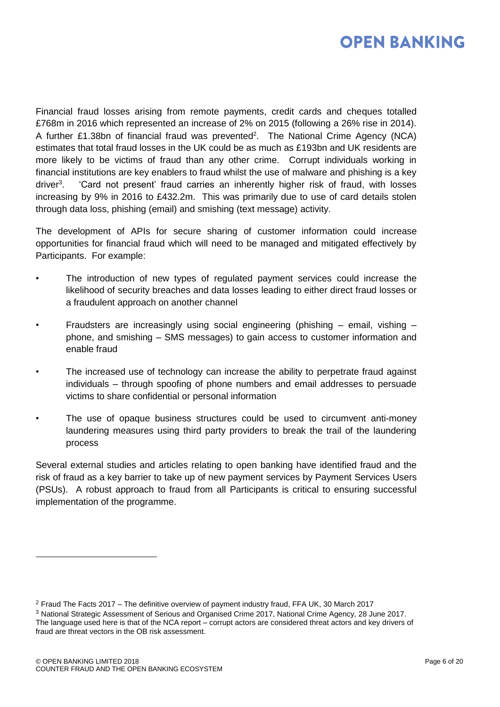

Financial fraud losses arising from remote payments, credit cards and cheques totalled £768m in 2016 which represented an increase of 2% on 2015 (following a 26% rise in 2014). A further £1.38bn of financial fraud was prevented<sup>2</sup>. The National Crime Agency (NCA) estimates that total fraud losses in the UK could be as much as £193bn and UK residents are more likely to be victims of fraud than any other crime. Corrupt individuals working in financial institutions are key enablers to fraud whilst the use of malware and phishing is a key driver<sup>3</sup>. . 'Card not present' fraud carries an inherently higher risk of fraud, with losses increasing by 9% in 2016 to £432.2m. This was primarily due to use of card details stolen through data loss, phishing (email) and smishing (text message) activity.

The development of APIs for secure sharing of customer information could increase opportunities for financial fraud which will need to be managed and mitigated effectively by Participants. For example:

- The introduction of new types of regulated payment services could increase the likelihood of security breaches and data losses leading to either direct fraud losses or a fraudulent approach on another channel
- Fraudsters are increasingly using social engineering (phishing email, vishing phone, and smishing – SMS messages) to gain access to customer information and enable fraud
- The increased use of technology can increase the ability to perpetrate fraud against individuals – through spoofing of phone numbers and email addresses to persuade victims to share confidential or personal information
- The use of opaque business structures could be used to circumvent anti-money laundering measures using third party providers to break the trail of the laundering process

Several external studies and articles relating to open banking have identified fraud and the risk of fraud as a key barrier to take up of new payment services by Payment Services Users (PSUs). A robust approach to fraud from all Participants is critical to ensuring successful implementation of the programme.

<sup>2</sup> Fraud The Facts 2017 – The definitive overview of payment industry fraud, FFA UK, 30 March 2017

<sup>3</sup> National Strategic Assessment of Serious and Organised Crime 2017, National Crime Agency, 28 June 2017. The language used here is that of the NCA report – corrupt actors are considered threat actors and key drivers of fraud are threat vectors in the OB risk assessment.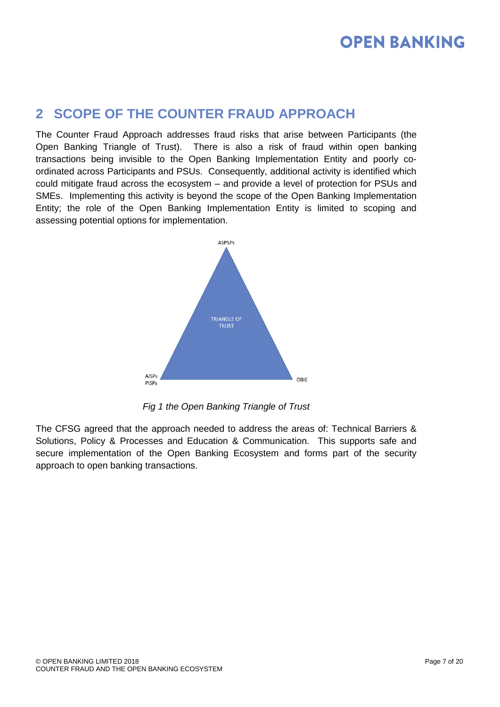### <span id="page-6-0"></span>**2 SCOPE OF THE COUNTER FRAUD APPROACH**

The Counter Fraud Approach addresses fraud risks that arise between Participants (the Open Banking Triangle of Trust). There is also a risk of fraud within open banking transactions being invisible to the Open Banking Implementation Entity and poorly coordinated across Participants and PSUs. Consequently, additional activity is identified which could mitigate fraud across the ecosystem – and provide a level of protection for PSUs and SMEs. Implementing this activity is beyond the scope of the Open Banking Implementation Entity; the role of the Open Banking Implementation Entity is limited to scoping and assessing potential options for implementation.



*Fig 1 the Open Banking Triangle of Trust*

The CFSG agreed that the approach needed to address the areas of: Technical Barriers & Solutions, Policy & Processes and Education & Communication. This supports safe and secure implementation of the Open Banking Ecosystem and forms part of the security approach to open banking transactions.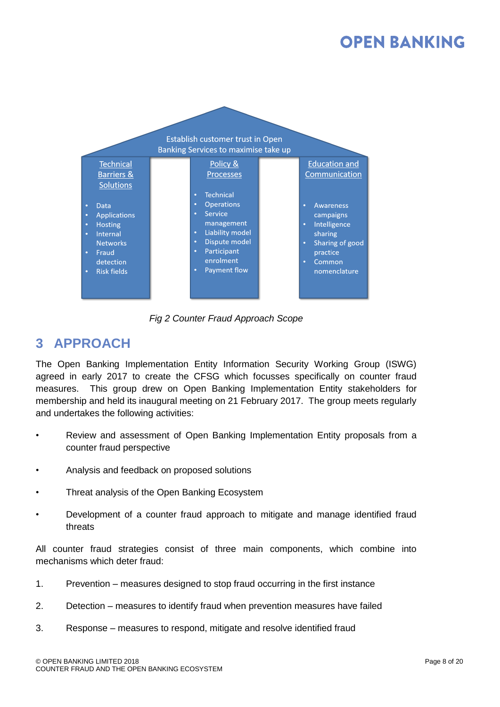

*Fig 2 Counter Fraud Approach Scope*

### <span id="page-7-0"></span>**3 APPROACH**

The Open Banking Implementation Entity Information Security Working Group (ISWG) agreed in early 2017 to create the CFSG which focusses specifically on counter fraud measures. This group drew on Open Banking Implementation Entity stakeholders for membership and held its inaugural meeting on 21 February 2017. The group meets regularly and undertakes the following activities:

- Review and assessment of Open Banking Implementation Entity proposals from a counter fraud perspective
- Analysis and feedback on proposed solutions
- Threat analysis of the Open Banking Ecosystem
- Development of a counter fraud approach to mitigate and manage identified fraud threats

All counter fraud strategies consist of three main components, which combine into mechanisms which deter fraud:

- 1. Prevention measures designed to stop fraud occurring in the first instance
- 2. Detection measures to identify fraud when prevention measures have failed
- 3. Response measures to respond, mitigate and resolve identified fraud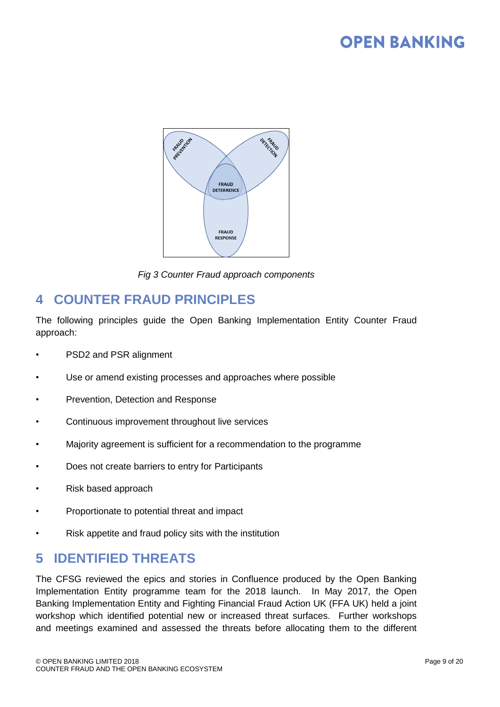

*Fig 3 Counter Fraud approach components*

### <span id="page-8-0"></span>**4 COUNTER FRAUD PRINCIPLES**

The following principles guide the Open Banking Implementation Entity Counter Fraud approach:

- PSD2 and PSR alignment
- Use or amend existing processes and approaches where possible
- Prevention, Detection and Response
- Continuous improvement throughout live services
- Majority agreement is sufficient for a recommendation to the programme
- Does not create barriers to entry for Participants
- Risk based approach
- Proportionate to potential threat and impact
- Risk appetite and fraud policy sits with the institution

### <span id="page-8-1"></span>**5 IDENTIFIED THREATS**

The CFSG reviewed the epics and stories in Confluence produced by the Open Banking Implementation Entity programme team for the 2018 launch. In May 2017, the Open Banking Implementation Entity and Fighting Financial Fraud Action UK (FFA UK) held a joint workshop which identified potential new or increased threat surfaces. Further workshops and meetings examined and assessed the threats before allocating them to the different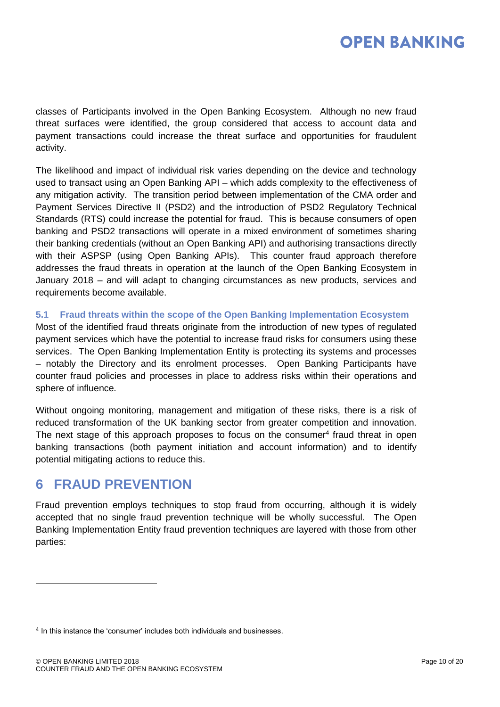classes of Participants involved in the Open Banking Ecosystem. Although no new fraud threat surfaces were identified, the group considered that access to account data and payment transactions could increase the threat surface and opportunities for fraudulent activity.

The likelihood and impact of individual risk varies depending on the device and technology used to transact using an Open Banking API – which adds complexity to the effectiveness of any mitigation activity. The transition period between implementation of the CMA order and Payment Services Directive II (PSD2) and the introduction of PSD2 Regulatory Technical Standards (RTS) could increase the potential for fraud. This is because consumers of open banking and PSD2 transactions will operate in a mixed environment of sometimes sharing their banking credentials (without an Open Banking API) and authorising transactions directly with their ASPSP (using Open Banking APIs). This counter fraud approach therefore addresses the fraud threats in operation at the launch of the Open Banking Ecosystem in January 2018 – and will adapt to changing circumstances as new products, services and requirements become available.

#### <span id="page-9-0"></span>**5.1 Fraud threats within the scope of the Open Banking Implementation Ecosystem**

Most of the identified fraud threats originate from the introduction of new types of regulated payment services which have the potential to increase fraud risks for consumers using these services. The Open Banking Implementation Entity is protecting its systems and processes – notably the Directory and its enrolment processes. Open Banking Participants have counter fraud policies and processes in place to address risks within their operations and sphere of influence.

Without ongoing monitoring, management and mitigation of these risks, there is a risk of reduced transformation of the UK banking sector from greater competition and innovation. The next stage of this approach proposes to focus on the consumer $4$  fraud threat in open banking transactions (both payment initiation and account information) and to identify potential mitigating actions to reduce this.

### <span id="page-9-1"></span>**6 FRAUD PREVENTION**

l

Fraud prevention employs techniques to stop fraud from occurring, although it is widely accepted that no single fraud prevention technique will be wholly successful. The Open Banking Implementation Entity fraud prevention techniques are layered with those from other parties:

<sup>&</sup>lt;sup>4</sup> In this instance the 'consumer' includes both individuals and businesses.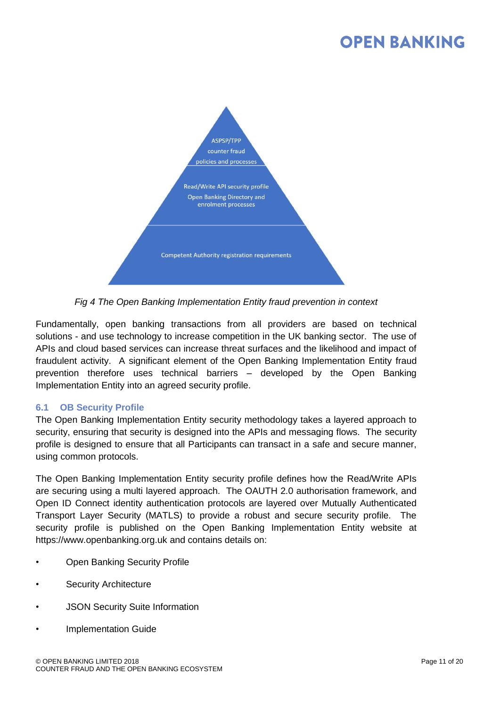

*Fig 4 The Open Banking Implementation Entity fraud prevention in context*

Fundamentally, open banking transactions from all providers are based on technical solutions - and use technology to increase competition in the UK banking sector. The use of APIs and cloud based services can increase threat surfaces and the likelihood and impact of fraudulent activity. A significant element of the Open Banking Implementation Entity fraud prevention therefore uses technical barriers – developed by the Open Banking Implementation Entity into an agreed security profile.

#### <span id="page-10-0"></span>**6.1 OB Security Profile**

The Open Banking Implementation Entity security methodology takes a layered approach to security, ensuring that security is designed into the APIs and messaging flows. The security profile is designed to ensure that all Participants can transact in a safe and secure manner, using common protocols.

The Open Banking Implementation Entity security profile defines how the Read/Write APIs are securing using a multi layered approach. The OAUTH 2.0 authorisation framework, and Open ID Connect identity authentication protocols are layered over Mutually Authenticated Transport Layer Security (MATLS) to provide a robust and secure security profile. The security profile is published on the Open Banking Implementation Entity website at https://www.openbanking.org.uk and contains details on:

- Open Banking Security Profile
- Security Architecture
- JSON Security Suite Information
- Implementation Guide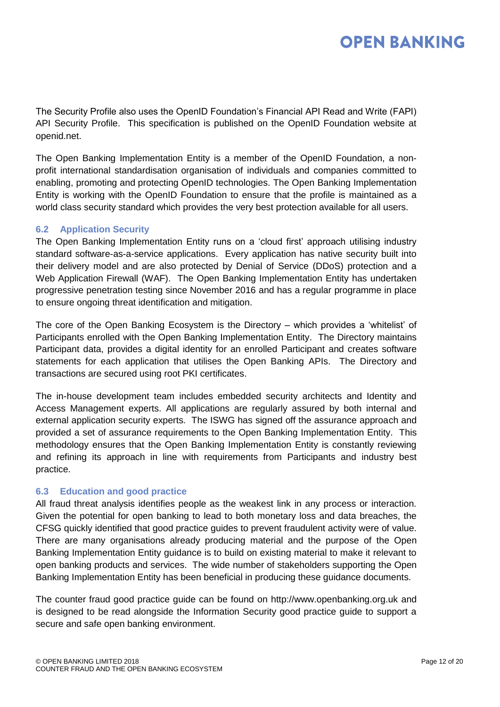The Security Profile also uses the OpenID Foundation's Financial API Read and Write (FAPI) API Security Profile. This specification is published on the OpenID Foundation website at openid.net.

The Open Banking Implementation Entity is a member of the OpenID Foundation, a nonprofit international standardisation organisation of individuals and companies committed to enabling, promoting and protecting OpenID technologies. The Open Banking Implementation Entity is working with the OpenID Foundation to ensure that the profile is maintained as a world class security standard which provides the very best protection available for all users.

#### <span id="page-11-0"></span>**6.2 Application Security**

The Open Banking Implementation Entity runs on a 'cloud first' approach utilising industry standard software-as-a-service applications. Every application has native security built into their delivery model and are also protected by Denial of Service (DDoS) protection and a Web Application Firewall (WAF). The Open Banking Implementation Entity has undertaken progressive penetration testing since November 2016 and has a regular programme in place to ensure ongoing threat identification and mitigation.

The core of the Open Banking Ecosystem is the Directory – which provides a 'whitelist' of Participants enrolled with the Open Banking Implementation Entity. The Directory maintains Participant data, provides a digital identity for an enrolled Participant and creates software statements for each application that utilises the Open Banking APIs. The Directory and transactions are secured using root PKI certificates.

The in-house development team includes embedded security architects and Identity and Access Management experts. All applications are regularly assured by both internal and external application security experts. The ISWG has signed off the assurance approach and provided a set of assurance requirements to the Open Banking Implementation Entity. This methodology ensures that the Open Banking Implementation Entity is constantly reviewing and refining its approach in line with requirements from Participants and industry best practice.

#### <span id="page-11-1"></span>**6.3 Education and good practice**

All fraud threat analysis identifies people as the weakest link in any process or interaction. Given the potential for open banking to lead to both monetary loss and data breaches, the CFSG quickly identified that good practice guides to prevent fraudulent activity were of value. There are many organisations already producing material and the purpose of the Open Banking Implementation Entity guidance is to build on existing material to make it relevant to open banking products and services. The wide number of stakeholders supporting the Open Banking Implementation Entity has been beneficial in producing these guidance documents.

The counter fraud good practice guide can be found on http://www.openbanking.org.uk and is designed to be read alongside the Information Security good practice guide to support a secure and safe open banking environment.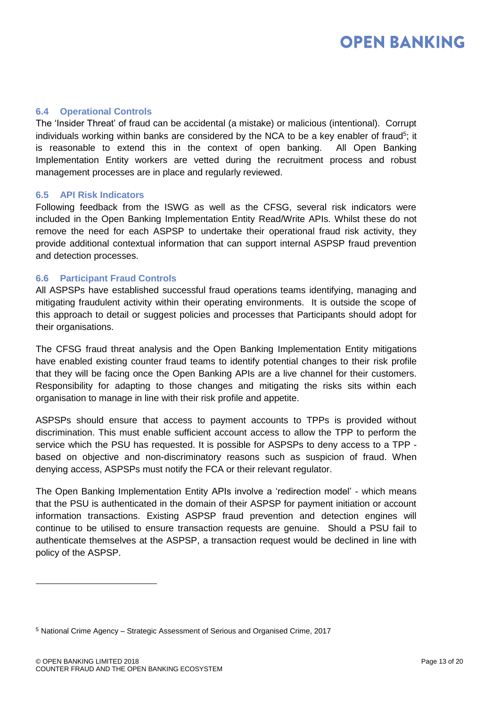#### <span id="page-12-0"></span>**6.4 Operational Controls**

The 'Insider Threat' of fraud can be accidental (a mistake) or malicious (intentional). Corrupt individuals working within banks are considered by the NCA to be a key enabler of fraud<sup>5</sup>; it is reasonable to extend this in the context of open banking. All Open Banking Implementation Entity workers are vetted during the recruitment process and robust management processes are in place and regularly reviewed.

#### <span id="page-12-1"></span>**6.5 API Risk Indicators**

Following feedback from the ISWG as well as the CFSG, several risk indicators were included in the Open Banking Implementation Entity Read/Write APIs. Whilst these do not remove the need for each ASPSP to undertake their operational fraud risk activity, they provide additional contextual information that can support internal ASPSP fraud prevention and detection processes.

#### <span id="page-12-2"></span>**6.6 Participant Fraud Controls**

All ASPSPs have established successful fraud operations teams identifying, managing and mitigating fraudulent activity within their operating environments. It is outside the scope of this approach to detail or suggest policies and processes that Participants should adopt for their organisations.

The CFSG fraud threat analysis and the Open Banking Implementation Entity mitigations have enabled existing counter fraud teams to identify potential changes to their risk profile that they will be facing once the Open Banking APIs are a live channel for their customers. Responsibility for adapting to those changes and mitigating the risks sits within each organisation to manage in line with their risk profile and appetite.

ASPSPs should ensure that access to payment accounts to TPPs is provided without discrimination. This must enable sufficient account access to allow the TPP to perform the service which the PSU has requested. It is possible for ASPSPs to deny access to a TPP based on objective and non-discriminatory reasons such as suspicion of fraud. When denying access, ASPSPs must notify the FCA or their relevant regulator.

The Open Banking Implementation Entity APIs involve a 'redirection model' - which means that the PSU is authenticated in the domain of their ASPSP for payment initiation or account information transactions. Existing ASPSP fraud prevention and detection engines will continue to be utilised to ensure transaction requests are genuine. Should a PSU fail to authenticate themselves at the ASPSP, a transaction request would be declined in line with policy of the ASPSP.

<sup>5</sup> National Crime Agency – Strategic Assessment of Serious and Organised Crime, 2017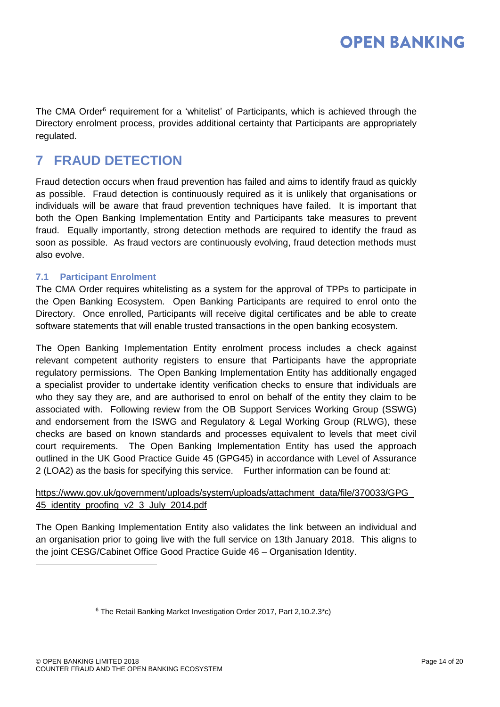The CMA Order<sup>6</sup> requirement for a 'whitelist' of Participants, which is achieved through the Directory enrolment process, provides additional certainty that Participants are appropriately regulated.

### <span id="page-13-0"></span>**7 FRAUD DETECTION**

Fraud detection occurs when fraud prevention has failed and aims to identify fraud as quickly as possible. Fraud detection is continuously required as it is unlikely that organisations or individuals will be aware that fraud prevention techniques have failed. It is important that both the Open Banking Implementation Entity and Participants take measures to prevent fraud. Equally importantly, strong detection methods are required to identify the fraud as soon as possible. As fraud vectors are continuously evolving, fraud detection methods must also evolve.

#### <span id="page-13-1"></span>**7.1 Participant Enrolment**

The CMA Order requires whitelisting as a system for the approval of TPPs to participate in the Open Banking Ecosystem. Open Banking Participants are required to enrol onto the Directory. Once enrolled, Participants will receive digital certificates and be able to create software statements that will enable trusted transactions in the open banking ecosystem.

The Open Banking Implementation Entity enrolment process includes a check against relevant competent authority registers to ensure that Participants have the appropriate regulatory permissions. The Open Banking Implementation Entity has additionally engaged a specialist provider to undertake identity verification checks to ensure that individuals are who they say they are, and are authorised to enrol on behalf of the entity they claim to be associated with. Following review from the OB Support Services Working Group (SSWG) and endorsement from the ISWG and Regulatory & Legal Working Group (RLWG), these checks are based on known standards and processes equivalent to levels that meet civil court requirements. The Open Banking Implementation Entity has used the approach outlined in the UK Good Practice Guide 45 (GPG45) in accordance with Level of Assurance 2 (LOA2) as the basis for specifying this service. Further information can be found at:

#### [https://www.gov.uk/government/uploads/system/uploads/attachment\\_data/file/370033/GPG\\_](https://www.gov.uk/government/uploads/system/uploads/attachment_data/file/370033/GPG_45_identity_proofing_v2_3_July_2014.pdf) 45 identity proofing v2 3 July 2014.pdf

The Open Banking Implementation Entity also validates the link between an individual and an organisation prior to going live with the full service on 13th January 2018. This aligns to the joint CESG/Cabinet Office Good Practice Guide 46 – Organisation Identity.

<sup>6</sup> The Retail Banking Market Investigation Order 2017, Part 2,10.2.3\*c)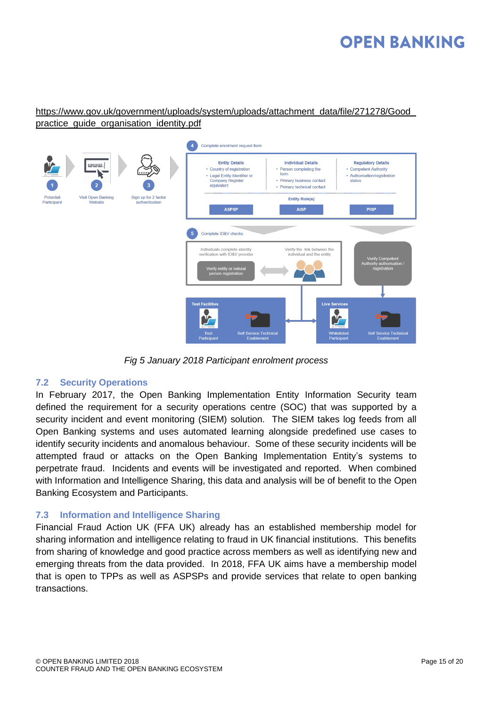#### [https://www.gov.uk/government/uploads/system/uploads/attachment\\_data/file/271278/Good\\_](https://www.gov.uk/government/uploads/system/uploads/attachment_data/file/271278/Good_practice_guide_organisation_identity.pdf) [practice\\_guide\\_organisation\\_identity.pdf](https://www.gov.uk/government/uploads/system/uploads/attachment_data/file/271278/Good_practice_guide_organisation_identity.pdf)



*Fig 5 January 2018 Participant enrolment process*

#### <span id="page-14-0"></span>**7.2 Security Operations**

In February 2017, the Open Banking Implementation Entity Information Security team defined the requirement for a security operations centre (SOC) that was supported by a security incident and event monitoring (SIEM) solution. The SIEM takes log feeds from all Open Banking systems and uses automated learning alongside predefined use cases to identify security incidents and anomalous behaviour. Some of these security incidents will be attempted fraud or attacks on the Open Banking Implementation Entity's systems to perpetrate fraud. Incidents and events will be investigated and reported. When combined with Information and Intelligence Sharing, this data and analysis will be of benefit to the Open Banking Ecosystem and Participants.

#### <span id="page-14-1"></span>**7.3 Information and Intelligence Sharing**

Financial Fraud Action UK (FFA UK) already has an established membership model for sharing information and intelligence relating to fraud in UK financial institutions. This benefits from sharing of knowledge and good practice across members as well as identifying new and emerging threats from the data provided. In 2018, FFA UK aims have a membership model that is open to TPPs as well as ASPSPs and provide services that relate to open banking transactions.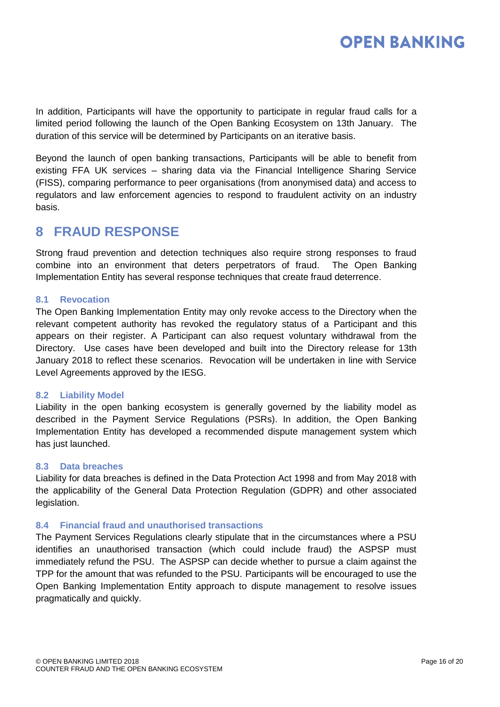In addition, Participants will have the opportunity to participate in regular fraud calls for a limited period following the launch of the Open Banking Ecosystem on 13th January. The duration of this service will be determined by Participants on an iterative basis.

Beyond the launch of open banking transactions, Participants will be able to benefit from existing FFA UK services – sharing data via the Financial Intelligence Sharing Service (FISS), comparing performance to peer organisations (from anonymised data) and access to regulators and law enforcement agencies to respond to fraudulent activity on an industry basis.

### <span id="page-15-0"></span>**8 FRAUD RESPONSE**

Strong fraud prevention and detection techniques also require strong responses to fraud combine into an environment that deters perpetrators of fraud. The Open Banking Implementation Entity has several response techniques that create fraud deterrence.

#### <span id="page-15-1"></span>**8.1 Revocation**

The Open Banking Implementation Entity may only revoke access to the Directory when the relevant competent authority has revoked the regulatory status of a Participant and this appears on their register. A Participant can also request voluntary withdrawal from the Directory. Use cases have been developed and built into the Directory release for 13th January 2018 to reflect these scenarios. Revocation will be undertaken in line with Service Level Agreements approved by the IESG.

#### <span id="page-15-2"></span>**8.2 Liability Model**

Liability in the open banking ecosystem is generally governed by the liability model as described in the Payment Service Regulations (PSRs). In addition, the Open Banking Implementation Entity has developed a recommended dispute management system which has just launched.

#### <span id="page-15-3"></span>**8.3 Data breaches**

Liability for data breaches is defined in the Data Protection Act 1998 and from May 2018 with the applicability of the General Data Protection Regulation (GDPR) and other associated legislation.

#### <span id="page-15-4"></span>**8.4 Financial fraud and unauthorised transactions**

The Payment Services Regulations clearly stipulate that in the circumstances where a PSU identifies an unauthorised transaction (which could include fraud) the ASPSP must immediately refund the PSU. The ASPSP can decide whether to pursue a claim against the TPP for the amount that was refunded to the PSU. Participants will be encouraged to use the Open Banking Implementation Entity approach to dispute management to resolve issues pragmatically and quickly.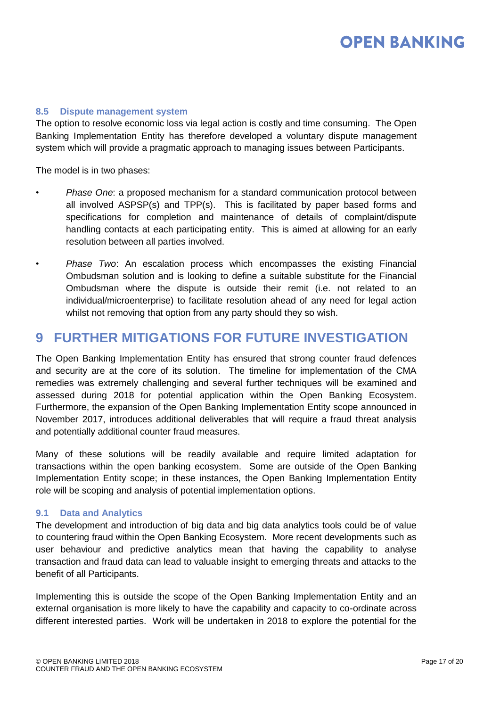#### <span id="page-16-0"></span>**8.5 Dispute management system**

The option to resolve economic loss via legal action is costly and time consuming. The Open Banking Implementation Entity has therefore developed a voluntary dispute management system which will provide a pragmatic approach to managing issues between Participants.

The model is in two phases:

- *Phase One*: a proposed mechanism for a standard communication protocol between all involved ASPSP(s) and TPP(s). This is facilitated by paper based forms and specifications for completion and maintenance of details of complaint/dispute handling contacts at each participating entity. This is aimed at allowing for an early resolution between all parties involved.
- *Phase Two*: An escalation process which encompasses the existing Financial Ombudsman solution and is looking to define a suitable substitute for the Financial Ombudsman where the dispute is outside their remit (i.e. not related to an individual/microenterprise) to facilitate resolution ahead of any need for legal action whilst not removing that option from any party should they so wish.

### <span id="page-16-1"></span>**9 FURTHER MITIGATIONS FOR FUTURE INVESTIGATION**

The Open Banking Implementation Entity has ensured that strong counter fraud defences and security are at the core of its solution. The timeline for implementation of the CMA remedies was extremely challenging and several further techniques will be examined and assessed during 2018 for potential application within the Open Banking Ecosystem. Furthermore, the expansion of the Open Banking Implementation Entity scope announced in November 2017, introduces additional deliverables that will require a fraud threat analysis and potentially additional counter fraud measures.

Many of these solutions will be readily available and require limited adaptation for transactions within the open banking ecosystem. Some are outside of the Open Banking Implementation Entity scope; in these instances, the Open Banking Implementation Entity role will be scoping and analysis of potential implementation options.

#### <span id="page-16-2"></span>**9.1 Data and Analytics**

The development and introduction of big data and big data analytics tools could be of value to countering fraud within the Open Banking Ecosystem. More recent developments such as user behaviour and predictive analytics mean that having the capability to analyse transaction and fraud data can lead to valuable insight to emerging threats and attacks to the benefit of all Participants.

Implementing this is outside the scope of the Open Banking Implementation Entity and an external organisation is more likely to have the capability and capacity to co-ordinate across different interested parties. Work will be undertaken in 2018 to explore the potential for the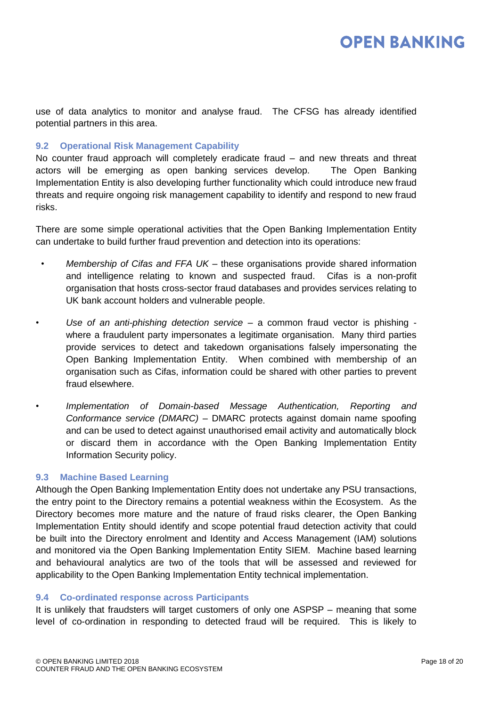use of data analytics to monitor and analyse fraud. The CFSG has already identified potential partners in this area.

#### <span id="page-17-0"></span>**9.2 Operational Risk Management Capability**

No counter fraud approach will completely eradicate fraud  $-$  and new threats and threat actors will be emerging as open banking services develop. The Open Banking Implementation Entity is also developing further functionality which could introduce new fraud threats and require ongoing risk management capability to identify and respond to new fraud risks.

There are some simple operational activities that the Open Banking Implementation Entity can undertake to build further fraud prevention and detection into its operations:

- *Membership of Cifas and FFA UK* these organisations provide shared information and intelligence relating to known and suspected fraud. Cifas is a non-profit organisation that hosts cross-sector fraud databases and provides services relating to UK bank account holders and vulnerable people.
- *Use of an anti-phishing detection service* a common fraud vector is phishing where a fraudulent party impersonates a legitimate organisation. Many third parties provide services to detect and takedown organisations falsely impersonating the Open Banking Implementation Entity. When combined with membership of an organisation such as Cifas, information could be shared with other parties to prevent fraud elsewhere.
- *Implementation of Domain-based Message Authentication, Reporting and Conformance service (DMARC)* – DMARC protects against domain name spoofing and can be used to detect against unauthorised email activity and automatically block or discard them in accordance with the Open Banking Implementation Entity Information Security policy.

#### <span id="page-17-1"></span>**9.3 Machine Based Learning**

Although the Open Banking Implementation Entity does not undertake any PSU transactions, the entry point to the Directory remains a potential weakness within the Ecosystem. As the Directory becomes more mature and the nature of fraud risks clearer, the Open Banking Implementation Entity should identify and scope potential fraud detection activity that could be built into the Directory enrolment and Identity and Access Management (IAM) solutions and monitored via the Open Banking Implementation Entity SIEM. Machine based learning and behavioural analytics are two of the tools that will be assessed and reviewed for applicability to the Open Banking Implementation Entity technical implementation.

#### <span id="page-17-2"></span>**9.4 Co-ordinated response across Participants**

It is unlikely that fraudsters will target customers of only one ASPSP – meaning that some level of co-ordination in responding to detected fraud will be required. This is likely to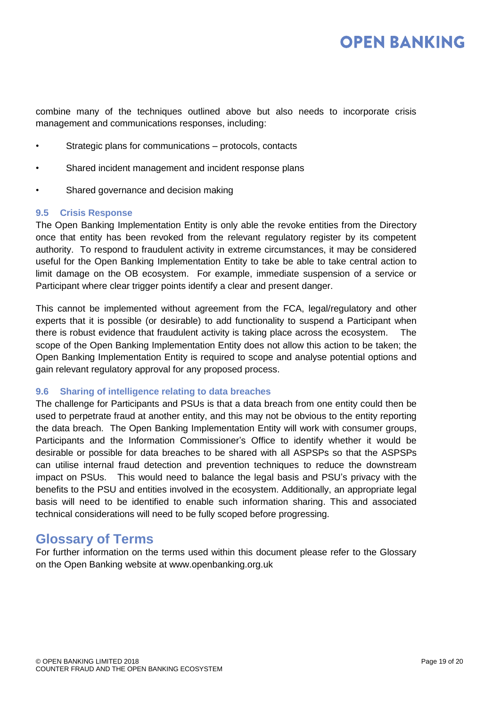combine many of the techniques outlined above but also needs to incorporate crisis management and communications responses, including:

- Strategic plans for communications protocols, contacts
- Shared incident management and incident response plans
- Shared governance and decision making

#### <span id="page-18-0"></span>**9.5 Crisis Response**

The Open Banking Implementation Entity is only able the revoke entities from the Directory once that entity has been revoked from the relevant regulatory register by its competent authority. To respond to fraudulent activity in extreme circumstances, it may be considered useful for the Open Banking Implementation Entity to take be able to take central action to limit damage on the OB ecosystem. For example, immediate suspension of a service or Participant where clear trigger points identify a clear and present danger.

This cannot be implemented without agreement from the FCA, legal/regulatory and other experts that it is possible (or desirable) to add functionality to suspend a Participant when there is robust evidence that fraudulent activity is taking place across the ecosystem. The scope of the Open Banking Implementation Entity does not allow this action to be taken; the Open Banking Implementation Entity is required to scope and analyse potential options and gain relevant regulatory approval for any proposed process.

#### <span id="page-18-1"></span>**9.6 Sharing of intelligence relating to data breaches**

The challenge for Participants and PSUs is that a data breach from one entity could then be used to perpetrate fraud at another entity, and this may not be obvious to the entity reporting the data breach. The Open Banking Implementation Entity will work with consumer groups, Participants and the Information Commissioner's Office to identify whether it would be desirable or possible for data breaches to be shared with all ASPSPs so that the ASPSPs can utilise internal fraud detection and prevention techniques to reduce the downstream impact on PSUs. This would need to balance the legal basis and PSU's privacy with the benefits to the PSU and entities involved in the ecosystem. Additionally, an appropriate legal basis will need to be identified to enable such information sharing. This and associated technical considerations will need to be fully scoped before progressing.

### **Glossary of Terms**

For further information on the terms used within this document please refer to the Glossary on the Open Banking website at [www.openbanking.org.uk](http://www.openbanking.org.uk/)